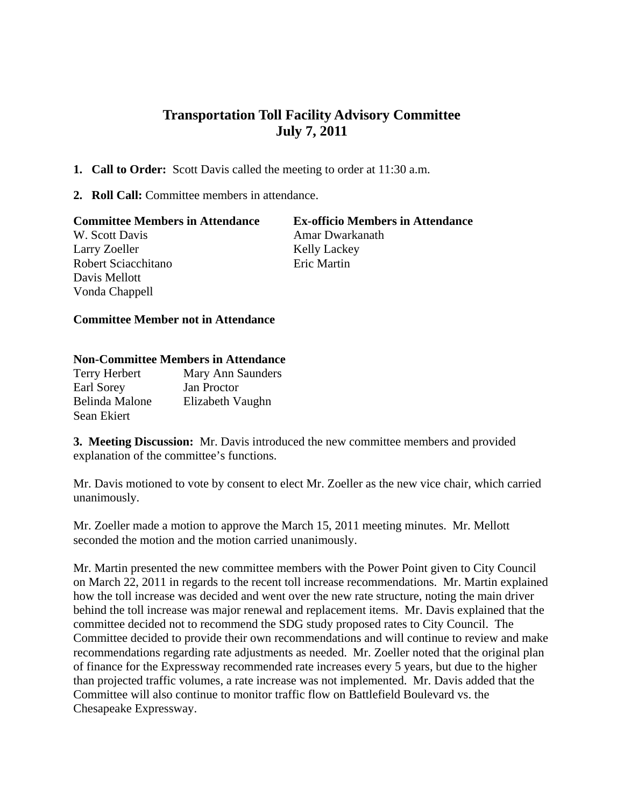## **Transportation Toll Facility Advisory Committee July 7, 2011**

- **1. Call to Order:** Scott Davis called the meeting to order at 11:30 a.m.
- **2. Roll Call:** Committee members in attendance.

| <b>Committee Members in Attendance</b> | <b>Ex-officio Members in Attendance</b> |
|----------------------------------------|-----------------------------------------|
| W. Scott Davis                         | Amar Dwarkanath                         |
| Larry Zoeller                          | <b>Kelly Lackey</b>                     |
| Robert Sciacchitano                    | Eric Martin                             |
| Davis Mellott                          |                                         |
| Vonda Chappell                         |                                         |

## **Committee Member not in Attendance**

## **Non-Committee Members in Attendance**

| Terry Herbert  | Mary Ann Saunders  |
|----------------|--------------------|
| Earl Sorey     | <b>Jan Proctor</b> |
| Belinda Malone | Elizabeth Vaughn   |
| Sean Ekiert    |                    |

**3. Meeting Discussion:** Mr. Davis introduced the new committee members and provided explanation of the committee's functions.

 Mr. Davis motioned to vote by consent to elect Mr. Zoeller as the new vice chair, which carried unanimously.

Mr. Zoeller made a motion to approve the March 15, 2011 meeting minutes. Mr. Mellott seconded the motion and the motion carried unanimously.

Mr. Martin presented the new committee members with the Power Point given to City Council on March 22, 2011 in regards to the recent toll increase recommendations. Mr. Martin explained how the toll increase was decided and went over the new rate structure, noting the main driver behind the toll increase was major renewal and replacement items. Mr. Davis explained that the committee decided not to recommend the SDG study proposed rates to City Council. The Committee decided to provide their own recommendations and will continue to review and make recommendations regarding rate adjustments as needed. Mr. Zoeller noted that the original plan of finance for the Expressway recommended rate increases every 5 years, but due to the higher than projected traffic volumes, a rate increase was not implemented. Mr. Davis added that the Committee will also continue to monitor traffic flow on Battlefield Boulevard vs. the Chesapeake Expressway.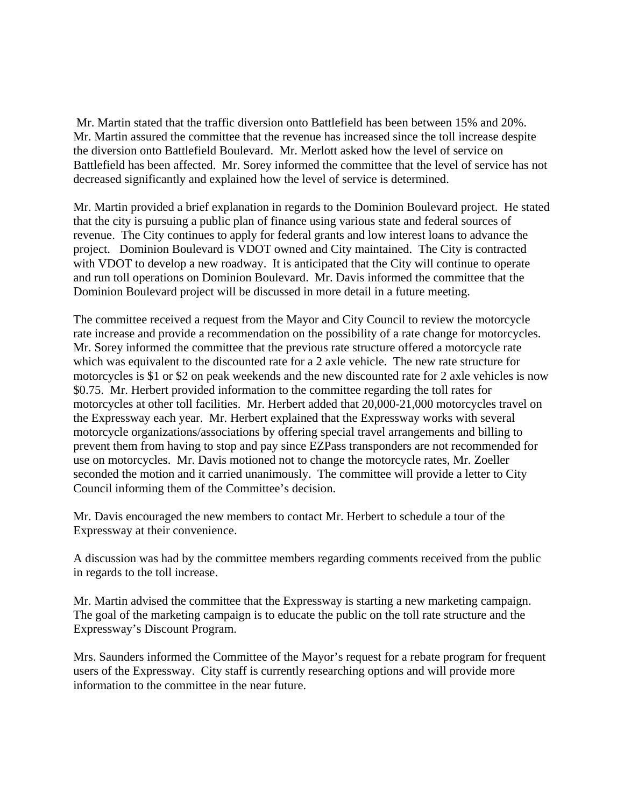Mr. Martin stated that the traffic diversion onto Battlefield has been between 15% and 20%. Mr. Martin assured the committee that the revenue has increased since the toll increase despite the diversion onto Battlefield Boulevard. Mr. Merlott asked how the level of service on Battlefield has been affected. Mr. Sorey informed the committee that the level of service has not decreased significantly and explained how the level of service is determined.

Mr. Martin provided a brief explanation in regards to the Dominion Boulevard project. He stated that the city is pursuing a public plan of finance using various state and federal sources of revenue. The City continues to apply for federal grants and low interest loans to advance the project. Dominion Boulevard is VDOT owned and City maintained. The City is contracted with VDOT to develop a new roadway. It is anticipated that the City will continue to operate and run toll operations on Dominion Boulevard. Mr. Davis informed the committee that the Dominion Boulevard project will be discussed in more detail in a future meeting.

The committee received a request from the Mayor and City Council to review the motorcycle rate increase and provide a recommendation on the possibility of a rate change for motorcycles. Mr. Sorey informed the committee that the previous rate structure offered a motorcycle rate which was equivalent to the discounted rate for a 2 axle vehicle. The new rate structure for motorcycles is \$1 or \$2 on peak weekends and the new discounted rate for 2 axle vehicles is now \$0.75. Mr. Herbert provided information to the committee regarding the toll rates for motorcycles at other toll facilities. Mr. Herbert added that 20,000-21,000 motorcycles travel on the Expressway each year. Mr. Herbert explained that the Expressway works with several motorcycle organizations/associations by offering special travel arrangements and billing to prevent them from having to stop and pay since EZPass transponders are not recommended for use on motorcycles. Mr. Davis motioned not to change the motorcycle rates, Mr. Zoeller seconded the motion and it carried unanimously. The committee will provide a letter to City Council informing them of the Committee's decision.

Mr. Davis encouraged the new members to contact Mr. Herbert to schedule a tour of the Expressway at their convenience.

A discussion was had by the committee members regarding comments received from the public in regards to the toll increase.

Mr. Martin advised the committee that the Expressway is starting a new marketing campaign. The goal of the marketing campaign is to educate the public on the toll rate structure and the Expressway's Discount Program.

Mrs. Saunders informed the Committee of the Mayor's request for a rebate program for frequent users of the Expressway. City staff is currently researching options and will provide more information to the committee in the near future.